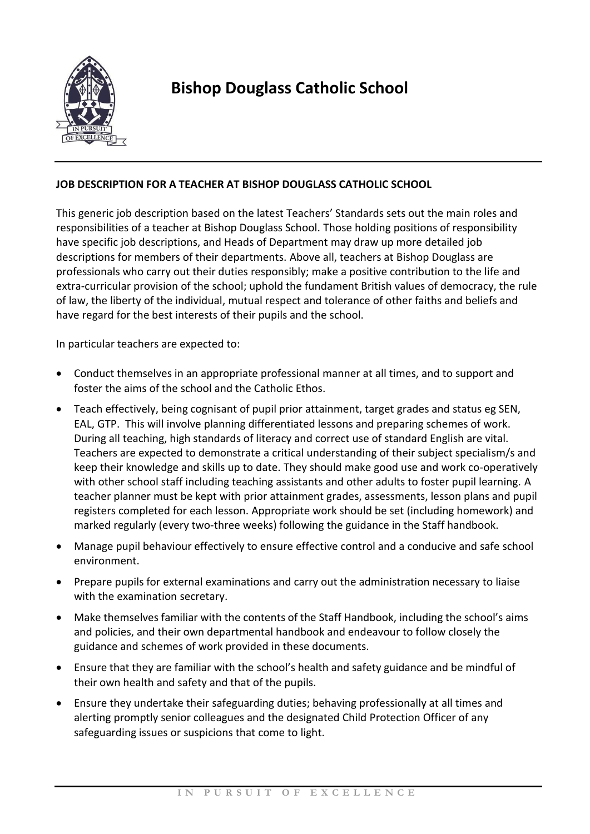

## **Bishop Douglass Catholic School**

## **JOB DESCRIPTION FOR A TEACHER AT BISHOP DOUGLASS CATHOLIC SCHOOL**

This generic job description based on the latest Teachers' Standards sets out the main roles and responsibilities of a teacher at Bishop Douglass School. Those holding positions of responsibility have specific job descriptions, and Heads of Department may draw up more detailed job descriptions for members of their departments. Above all, teachers at Bishop Douglass are professionals who carry out their duties responsibly; make a positive contribution to the life and extra-curricular provision of the school; uphold the fundament British values of democracy, the rule of law, the liberty of the individual, mutual respect and tolerance of other faiths and beliefs and have regard for the best interests of their pupils and the school.

In particular teachers are expected to:

- Conduct themselves in an appropriate professional manner at all times, and to support and foster the aims of the school and the Catholic Ethos.
- Teach effectively, being cognisant of pupil prior attainment, target grades and status eg SEN, EAL, GTP. This will involve planning differentiated lessons and preparing schemes of work. During all teaching, high standards of literacy and correct use of standard English are vital. Teachers are expected to demonstrate a critical understanding of their subject specialism/s and keep their knowledge and skills up to date. They should make good use and work co-operatively with other school staff including teaching assistants and other adults to foster pupil learning. A teacher planner must be kept with prior attainment grades, assessments, lesson plans and pupil registers completed for each lesson. Appropriate work should be set (including homework) and marked regularly (every two-three weeks) following the guidance in the Staff handbook.
- Manage pupil behaviour effectively to ensure effective control and a conducive and safe school environment.
- Prepare pupils for external examinations and carry out the administration necessary to liaise with the examination secretary.
- Make themselves familiar with the contents of the Staff Handbook, including the school's aims and policies, and their own departmental handbook and endeavour to follow closely the guidance and schemes of work provided in these documents.
- Ensure that they are familiar with the school's health and safety guidance and be mindful of their own health and safety and that of the pupils.
- Ensure they undertake their safeguarding duties; behaving professionally at all times and alerting promptly senior colleagues and the designated Child Protection Officer of any safeguarding issues or suspicions that come to light.